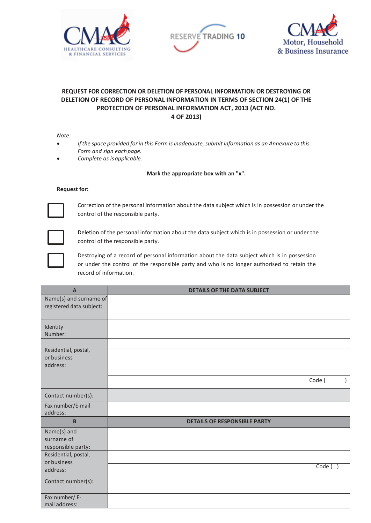





## **REQUEST FOR CORRECTION OR DELETION OF PERSONAL INFORMATION OR DESTROYING OR DELETION OF RECORD OF PERSONAL INFORMATION IN TERMS OF SECTION 24(1) OF THE PROTECTION OF PERSONAL INFORMATION ACT, 2013 (ACT NO. 4 OF 2013)**

*Note:*

- *Ifthe space provided for in this Form isinadequate, submit information as an Annexure to this Form and sign eachpage.*
- *Complete as is applicable.*

## **Mark the appropriate box with an "x".**

## **Request for:**



Correction of the personal information about the data subject which is in possession or under the control of the responsible party.



Deletion of the personal information about the data subject which is in possession or under the control of the responsible party.



Destroying of a record of personal information about the data subject which is in possession or under the control of the responsible party and who is no longer authorised to retain the record of information.

| $\overline{A}$                                                                         | <b>DETAILS OF THE DATA SUBJECT</b>  |
|----------------------------------------------------------------------------------------|-------------------------------------|
| Name(s) and surname of<br>registered data subject:                                     |                                     |
| Identity<br>Number:                                                                    |                                     |
| Residential, postal,<br>or business<br>address:                                        |                                     |
|                                                                                        | Code (<br>$\mathcal{L}$             |
| Contact number(s):                                                                     |                                     |
| Fax number/E-mail<br>address:                                                          |                                     |
| B                                                                                      | <b>DETAILS OF RESPONSIBLE PARTY</b> |
| Name(s) and<br>surname of<br>responsible party:<br>Residential, postal,<br>or business |                                     |
| address:                                                                               | Code( )                             |
| Contact number(s):                                                                     |                                     |
| Fax number/ E-<br>mail address:                                                        |                                     |